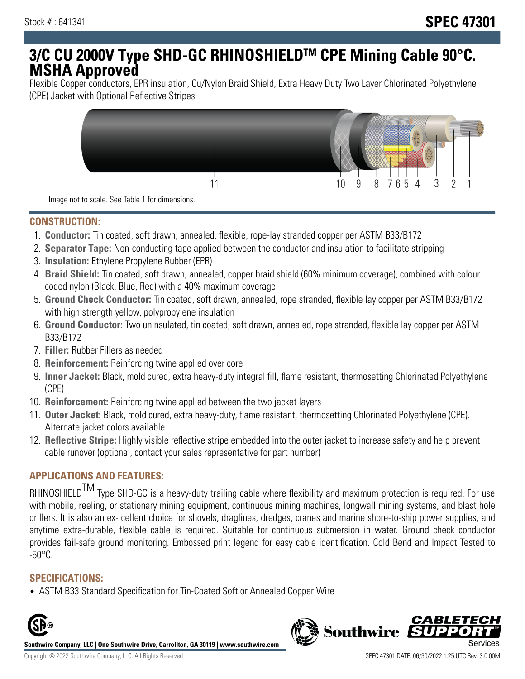# **3/C CU 2000V Type SHD-GC RHINOSHIELDTM CPE Mining Cable 90°C. MSHA Approved**

Flexible Copper conductors, EPR insulation, Cu/Nylon Braid Shield, Extra Heavy Duty Two Layer Chlorinated Polyethylene (CPE) Jacket with Optional Reflective Stripes



Image not to scale. See Table 1 for dimensions.

### **CONSTRUCTION:**

- 1. **Conductor:** Tin coated, soft drawn, annealed, flexible, rope-lay stranded copper per ASTM B33/B172
- 2. **Separator Tape:** Non-conducting tape applied between the conductor and insulation to facilitate stripping
- 3. **Insulation:** Ethylene Propylene Rubber (EPR)
- 4. **Braid Shield:** Tin coated, soft drawn, annealed, copper braid shield (60% minimum coverage), combined with colour coded nylon (Black, Blue, Red) with a 40% maximum coverage
- 5. **Ground Check Conductor:** Tin coated, soft drawn, annealed, rope stranded, flexible lay copper per ASTM B33/B172 with high strength yellow, polypropylene insulation
- 6. **Ground Conductor:** Two uninsulated, tin coated, soft drawn, annealed, rope stranded, flexible lay copper per ASTM B33/B172
- 7. **Filler:** Rubber Fillers as needed
- 8. **Reinforcement:** Reinforcing twine applied over core
- 9. **Inner Jacket:** Black, mold cured, extra heavy-duty integral fill, flame resistant, thermosetting Chlorinated Polyethylene (CPE)
- 10. **Reinforcement:** Reinforcing twine applied between the two jacket layers
- 11. **Outer Jacket:** Black, mold cured, extra heavy-duty, flame resistant, thermosetting Chlorinated Polyethylene (CPE). Alternate jacket colors available
- 12. **Reflective Stripe:** Highly visible reflective stripe embedded into the outer jacket to increase safety and help prevent cable runover (optional, contact your sales representative for part number)

## **APPLICATIONS AND FEATURES:**

RHINOSHIELD<sup>TM</sup> Type SHD-GC is a heavy-duty trailing cable where flexibility and maximum protection is required. For use with mobile, reeling, or stationary mining equipment, continuous mining machines, longwall mining systems, and blast hole drillers. It is also an ex- cellent choice for shovels, draglines, dredges, cranes and marine shore-to-ship power supplies, and anytime extra-durable, flexible cable is required. Suitable for continuous submersion in water. Ground check conductor provides fail-safe ground monitoring. Embossed print legend for easy cable identification. Cold Bend and Impact Tested to -50°C.

#### **SPECIFICATIONS:**

• ASTM B33 Standard Specification for Tin-Coated Soft or Annealed Copper Wire



**Southwire Company, LLC | One Southwire Drive, Carrollton, GA 30119 | www.southwire.com**

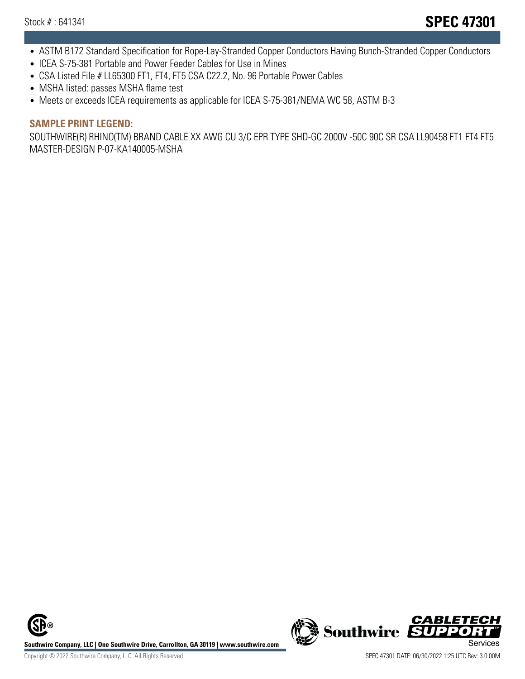- ASTM B172 Standard Specification for Rope-Lay-Stranded Copper Conductors Having Bunch-Stranded Copper Conductors
- ICEA S-75-381 Portable and Power Feeder Cables for Use in Mines
- CSA Listed File # LL65300 FT1, FT4, FT5 CSA C22.2, No. 96 Portable Power Cables
- MSHA listed: passes MSHA flame test
- Meets or exceeds ICEA requirements as applicable for ICEA S-75-381/NEMA WC 58, ASTM B-3

#### **SAMPLE PRINT LEGEND:**

SOUTHWIRE(R) RHINO(TM) BRAND CABLE XX AWG CU 3/C EPR TYPE SHD-GC 2000V -50C 90C SR CSA LL90458 FT1 FT4 FT5 MASTER-DESIGN P-07-KA140005-MSHA

**Southwire Company, LLC | One Southwire Drive, Carrollton, GA 30119 | www.southwire.com**